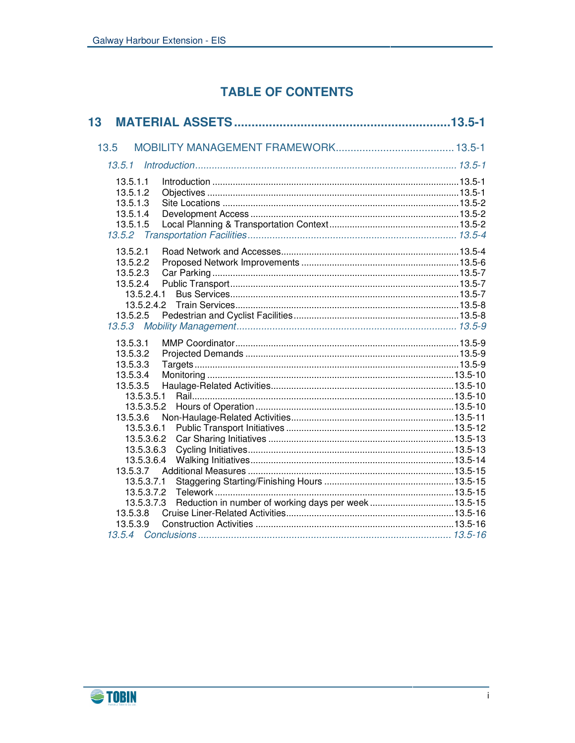# **TABLE OF CONTENTS**

| 13                       |                                                     |  |
|--------------------------|-----------------------------------------------------|--|
| 13.5                     |                                                     |  |
|                          |                                                     |  |
|                          |                                                     |  |
| 13.5.1.1                 |                                                     |  |
| 13.5.1.2                 |                                                     |  |
| 13.5.1.3                 |                                                     |  |
| 13.5.1.4                 |                                                     |  |
| 13.5.1.5                 |                                                     |  |
| 13.5.2                   |                                                     |  |
| 13.5.2.1                 |                                                     |  |
| 13.5.2.2                 |                                                     |  |
| 13.5.2.3                 |                                                     |  |
| 13.5.2.4                 |                                                     |  |
| 13.5.2.4.1               |                                                     |  |
| 13.5.2.4.2               |                                                     |  |
| 13.5.2.5                 |                                                     |  |
|                          |                                                     |  |
| 13.5.3.1                 |                                                     |  |
| 13.5.3.2                 |                                                     |  |
| 13.5.3.3                 |                                                     |  |
| 13.5.3.4                 |                                                     |  |
| 13.5.3.5                 |                                                     |  |
| 13.5.3.5.1<br>13.5.3.5.2 |                                                     |  |
| 13.5.3.6                 |                                                     |  |
| 13.5.3.6.1               |                                                     |  |
| 13.5.3.6.2               |                                                     |  |
| 13.5.3.6.3               |                                                     |  |
| 13.5.3.6.4               |                                                     |  |
| 13.5.3.7                 |                                                     |  |
| 13.5.3.7.1               |                                                     |  |
| 13.5.3.7.2               |                                                     |  |
| 13.5.3.7.3               | Reduction in number of working days per week13.5-15 |  |
| 13.5.3.8                 |                                                     |  |
| 13.5.3.9                 |                                                     |  |
|                          |                                                     |  |

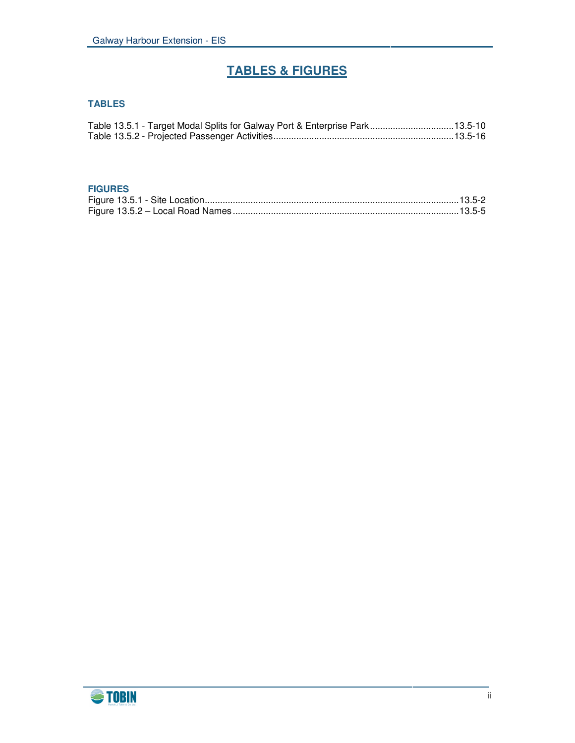# **TABLES & FIGURES**

# **TABLES**

|  | Table 13.5.1 - Target Modal Splits for Galway Port & Enterprise Park13.5-10 |  |
|--|-----------------------------------------------------------------------------|--|
|  |                                                                             |  |

#### **FIGURES**

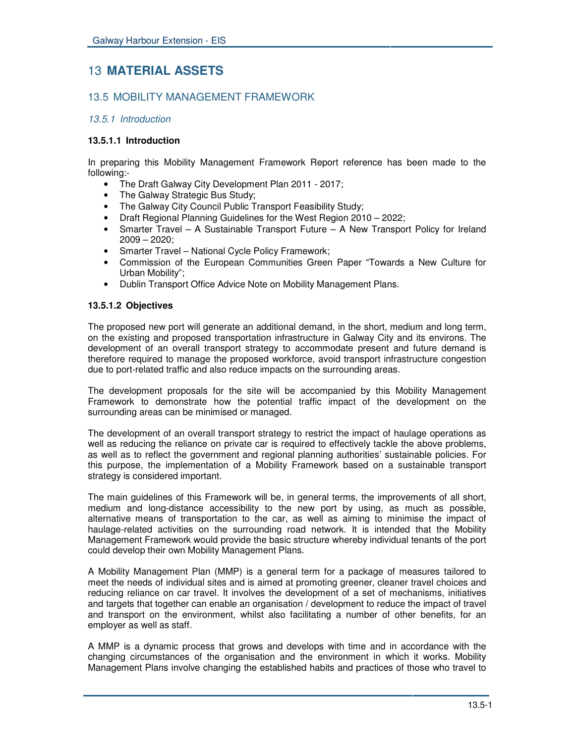# 13 **MATERIAL ASSETS**

# 13.5 MOBILITY MANAGEMENT FRAMEWORK

# *13.5.1 Introduction*

#### **13.5.1.1 Introduction**

In preparing this Mobility Management Framework Report reference has been made to the following:-

- The Draft Galway City Development Plan 2011 2017;
- The Galway Strategic Bus Study;
- The Galway City Council Public Transport Feasibility Study;
- Draft Regional Planning Guidelines for the West Region 2010 2022;
- Smarter Travel A Sustainable Transport Future A New Transport Policy for Ireland 2009 – 2020;
- Smarter Travel National Cycle Policy Framework;
- Commission of the European Communities Green Paper "Towards a New Culture for Urban Mobility";
- Dublin Transport Office Advice Note on Mobility Management Plans.

# **13.5.1.2 Objectives**

The proposed new port will generate an additional demand, in the short, medium and long term, on the existing and proposed transportation infrastructure in Galway City and its environs. The development of an overall transport strategy to accommodate present and future demand is therefore required to manage the proposed workforce, avoid transport infrastructure congestion due to port-related traffic and also reduce impacts on the surrounding areas.

The development proposals for the site will be accompanied by this Mobility Management Framework to demonstrate how the potential traffic impact of the development on the surrounding areas can be minimised or managed.

The development of an overall transport strategy to restrict the impact of haulage operations as well as reducing the reliance on private car is required to effectively tackle the above problems, as well as to reflect the government and regional planning authorities' sustainable policies. For this purpose, the implementation of a Mobility Framework based on a sustainable transport strategy is considered important.

The main guidelines of this Framework will be, in general terms, the improvements of all short, medium and long-distance accessibility to the new port by using, as much as possible, alternative means of transportation to the car, as well as aiming to minimise the impact of haulage-related activities on the surrounding road network. It is intended that the Mobility Management Framework would provide the basic structure whereby individual tenants of the port could develop their own Mobility Management Plans.

A Mobility Management Plan (MMP) is a general term for a package of measures tailored to meet the needs of individual sites and is aimed at promoting greener, cleaner travel choices and reducing reliance on car travel. It involves the development of a set of mechanisms, initiatives and targets that together can enable an organisation / development to reduce the impact of travel and transport on the environment, whilst also facilitating a number of other benefits, for an employer as well as staff.

A MMP is a dynamic process that grows and develops with time and in accordance with the changing circumstances of the organisation and the environment in which it works. Mobility Management Plans involve changing the established habits and practices of those who travel to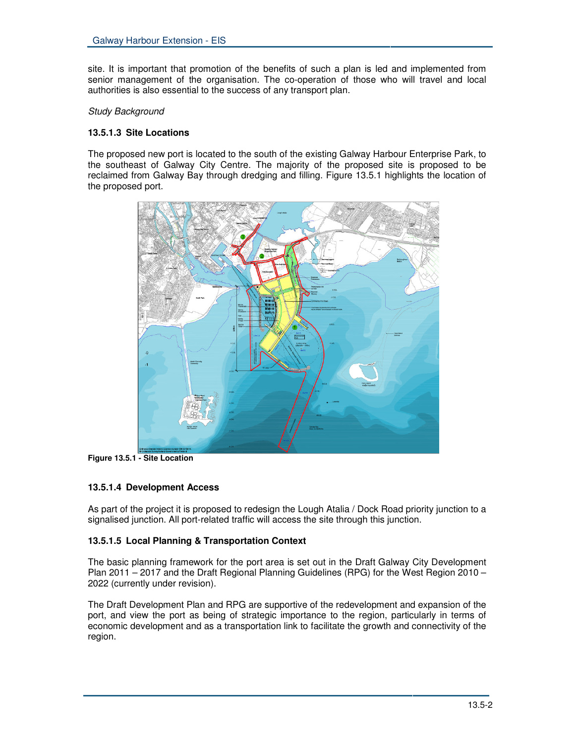site. It is important that promotion of the benefits of such a plan is led and implemented from senior management of the organisation. The co-operation of those who will travel and local authorities is also essential to the success of any transport plan.

#### *Study Background*

# **13.5.1.3 Site Locations**

The proposed new port is located to the south of the existing Galway Harbour Enterprise Park, to the southeast of Galway City Centre. The majority of the proposed site is proposed to be reclaimed from Galway Bay through dredging and filling. Figure 13.5.1 highlights the location of the proposed port.



**Figure 13.5.1 - Site Location**

# **13.5.1.4 Development Access**

As part of the project it is proposed to redesign the Lough Atalia / Dock Road priority junction to a signalised junction. All port-related traffic will access the site through this junction.

# **13.5.1.5 Local Planning & Transportation Context**

The basic planning framework for the port area is set out in the Draft Galway City Development Plan 2011 – 2017 and the Draft Regional Planning Guidelines (RPG) for the West Region 2010 – 2022 (currently under revision).

The Draft Development Plan and RPG are supportive of the redevelopment and expansion of the port, and view the port as being of strategic importance to the region, particularly in terms of economic development and as a transportation link to facilitate the growth and connectivity of the region.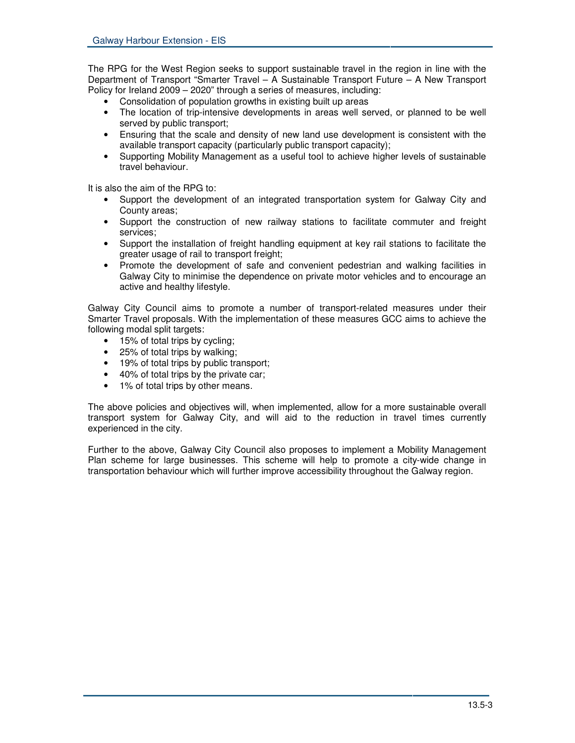The RPG for the West Region seeks to support sustainable travel in the region in line with the Department of Transport "Smarter Travel – A Sustainable Transport Future – A New Transport Policy for Ireland 2009 – 2020" through a series of measures, including:

- Consolidation of population growths in existing built up areas
- The location of trip-intensive developments in areas well served, or planned to be well served by public transport;
- Ensuring that the scale and density of new land use development is consistent with the available transport capacity (particularly public transport capacity);
- Supporting Mobility Management as a useful tool to achieve higher levels of sustainable travel behaviour.

It is also the aim of the RPG to:

- Support the development of an integrated transportation system for Galway City and County areas;
- Support the construction of new railway stations to facilitate commuter and freight services;
- Support the installation of freight handling equipment at key rail stations to facilitate the greater usage of rail to transport freight;
- Promote the development of safe and convenient pedestrian and walking facilities in Galway City to minimise the dependence on private motor vehicles and to encourage an active and healthy lifestyle.

Galway City Council aims to promote a number of transport-related measures under their Smarter Travel proposals. With the implementation of these measures GCC aims to achieve the following modal split targets:

- 15% of total trips by cycling;
- 25% of total trips by walking;
- 19% of total trips by public transport;
- 40% of total trips by the private car;
- 1% of total trips by other means.

The above policies and objectives will, when implemented, allow for a more sustainable overall transport system for Galway City, and will aid to the reduction in travel times currently experienced in the city.

Further to the above, Galway City Council also proposes to implement a Mobility Management Plan scheme for large businesses. This scheme will help to promote a city-wide change in transportation behaviour which will further improve accessibility throughout the Galway region.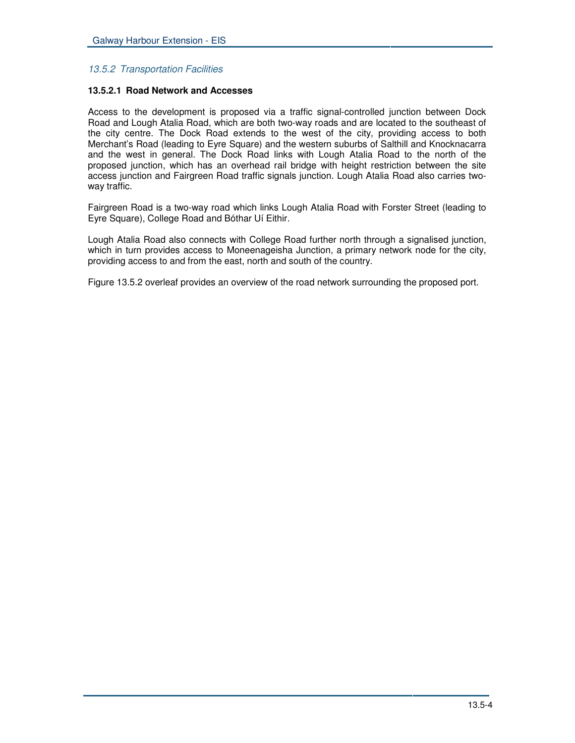# *13.5.2 Transportation Facilities*

#### **13.5.2.1 Road Network and Accesses**

Access to the development is proposed via a traffic signal-controlled junction between Dock Road and Lough Atalia Road, which are both two-way roads and are located to the southeast of the city centre. The Dock Road extends to the west of the city, providing access to both Merchant's Road (leading to Eyre Square) and the western suburbs of Salthill and Knocknacarra and the west in general. The Dock Road links with Lough Atalia Road to the north of the proposed junction, which has an overhead rail bridge with height restriction between the site access junction and Fairgreen Road traffic signals junction. Lough Atalia Road also carries twoway traffic.

Fairgreen Road is a two-way road which links Lough Atalia Road with Forster Street (leading to Eyre Square), College Road and Bóthar Uí Eithir.

Lough Atalia Road also connects with College Road further north through a signalised junction, which in turn provides access to Moneenageisha Junction, a primary network node for the city, providing access to and from the east, north and south of the country.

Figure 13.5.2 overleaf provides an overview of the road network surrounding the proposed port.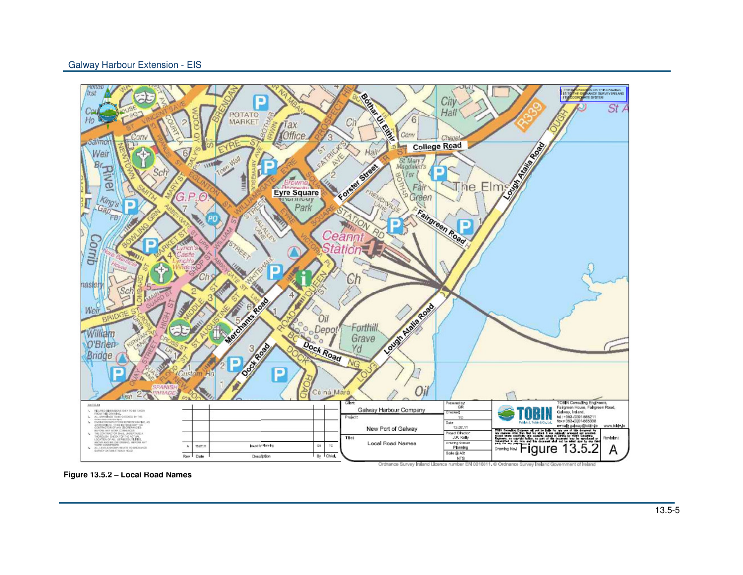

**Figure 13.5.2 – Local Road Names**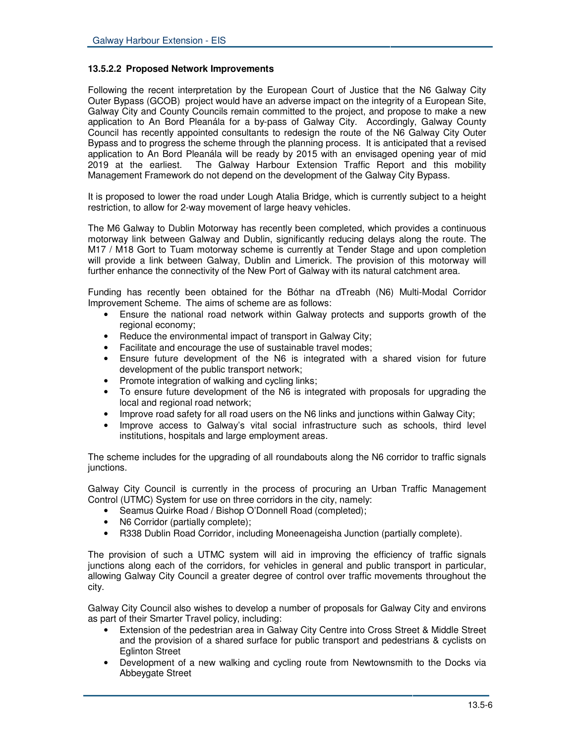#### **13.5.2.2 Proposed Network Improvements**

Following the recent interpretation by the European Court of Justice that the N6 Galway City Outer Bypass (GCOB) project would have an adverse impact on the integrity of a European Site, Galway City and County Councils remain committed to the project, and propose to make a new application to An Bord Pleanála for a by-pass of Galway City. Accordingly, Galway County Council has recently appointed consultants to redesign the route of the N6 Galway City Outer Bypass and to progress the scheme through the planning process. It is anticipated that a revised application to An Bord Pleanála will be ready by 2015 with an envisaged opening year of mid 2019 at the earliest. The Galway Harbour Extension Traffic Report and this mobility Management Framework do not depend on the development of the Galway City Bypass.

It is proposed to lower the road under Lough Atalia Bridge, which is currently subject to a height restriction, to allow for 2-way movement of large heavy vehicles.

The M6 Galway to Dublin Motorway has recently been completed, which provides a continuous motorway link between Galway and Dublin, significantly reducing delays along the route. The M17 / M18 Gort to Tuam motorway scheme is currently at Tender Stage and upon completion will provide a link between Galway, Dublin and Limerick. The provision of this motorway will further enhance the connectivity of the New Port of Galway with its natural catchment area.

Funding has recently been obtained for the Bóthar na dTreabh (N6) Multi-Modal Corridor Improvement Scheme. The aims of scheme are as follows:

- Ensure the national road network within Galway protects and supports growth of the regional economy;
- Reduce the environmental impact of transport in Galway City;
- Facilitate and encourage the use of sustainable travel modes;
- Ensure future development of the N6 is integrated with a shared vision for future development of the public transport network;
- Promote integration of walking and cycling links;
- To ensure future development of the N6 is integrated with proposals for upgrading the local and regional road network;
- Improve road safety for all road users on the N6 links and junctions within Galway City;
- Improve access to Galway's vital social infrastructure such as schools, third level institutions, hospitals and large employment areas.

The scheme includes for the upgrading of all roundabouts along the N6 corridor to traffic signals junctions.

Galway City Council is currently in the process of procuring an Urban Traffic Management Control (UTMC) System for use on three corridors in the city, namely:

- Seamus Quirke Road / Bishop O'Donnell Road (completed);
- N6 Corridor (partially complete);
- R338 Dublin Road Corridor, including Moneenageisha Junction (partially complete).

The provision of such a UTMC system will aid in improving the efficiency of traffic signals junctions along each of the corridors, for vehicles in general and public transport in particular, allowing Galway City Council a greater degree of control over traffic movements throughout the city.

Galway City Council also wishes to develop a number of proposals for Galway City and environs as part of their Smarter Travel policy, including:

- Extension of the pedestrian area in Galway City Centre into Cross Street & Middle Street and the provision of a shared surface for public transport and pedestrians & cyclists on Eglinton Street
- Development of a new walking and cycling route from Newtownsmith to the Docks via Abbeygate Street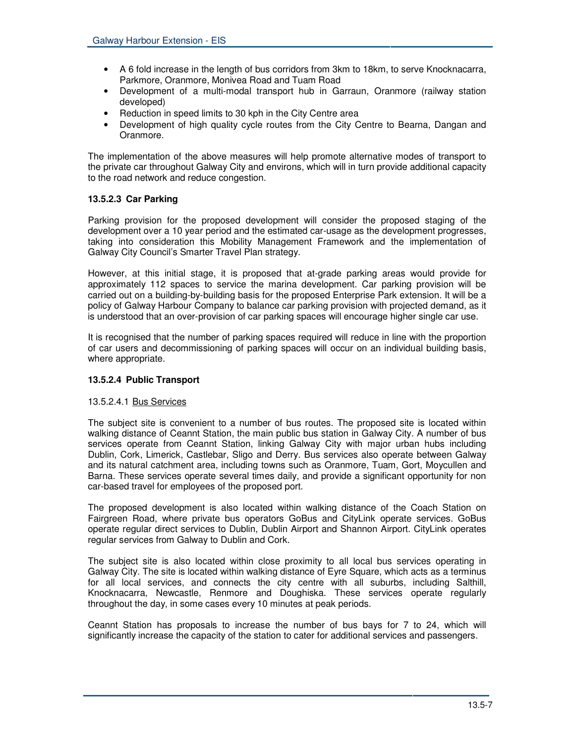- A 6 fold increase in the length of bus corridors from 3km to 18km, to serve Knocknacarra, Parkmore, Oranmore, Monivea Road and Tuam Road
- Development of a multi-modal transport hub in Garraun, Oranmore (railway station developed)
- Reduction in speed limits to 30 kph in the City Centre area
- Development of high quality cycle routes from the City Centre to Bearna, Dangan and Oranmore.

The implementation of the above measures will help promote alternative modes of transport to the private car throughout Galway City and environs, which will in turn provide additional capacity to the road network and reduce congestion.

# **13.5.2.3 Car Parking**

Parking provision for the proposed development will consider the proposed staging of the development over a 10 year period and the estimated car-usage as the development progresses, taking into consideration this Mobility Management Framework and the implementation of Galway City Council's Smarter Travel Plan strategy.

However, at this initial stage, it is proposed that at-grade parking areas would provide for approximately 112 spaces to service the marina development. Car parking provision will be carried out on a building-by-building basis for the proposed Enterprise Park extension. It will be a policy of Galway Harbour Company to balance car parking provision with projected demand, as it is understood that an over-provision of car parking spaces will encourage higher single car use.

It is recognised that the number of parking spaces required will reduce in line with the proportion of car users and decommissioning of parking spaces will occur on an individual building basis, where appropriate.

#### **13.5.2.4 Public Transport**

#### 13.5.2.4.1 Bus Services

The subject site is convenient to a number of bus routes. The proposed site is located within walking distance of Ceannt Station, the main public bus station in Galway City. A number of bus services operate from Ceannt Station, linking Galway City with major urban hubs including Dublin, Cork, Limerick, Castlebar, Sligo and Derry. Bus services also operate between Galway and its natural catchment area, including towns such as Oranmore, Tuam, Gort, Moycullen and Barna. These services operate several times daily, and provide a significant opportunity for non car-based travel for employees of the proposed port.

The proposed development is also located within walking distance of the Coach Station on Fairgreen Road, where private bus operators GoBus and CityLink operate services. GoBus operate regular direct services to Dublin, Dublin Airport and Shannon Airport. CityLink operates regular services from Galway to Dublin and Cork.

The subject site is also located within close proximity to all local bus services operating in Galway City. The site is located within walking distance of Eyre Square, which acts as a terminus for all local services, and connects the city centre with all suburbs, including Salthill, Knocknacarra, Newcastle, Renmore and Doughiska. These services operate regularly throughout the day, in some cases every 10 minutes at peak periods.

Ceannt Station has proposals to increase the number of bus bays for 7 to 24, which will significantly increase the capacity of the station to cater for additional services and passengers.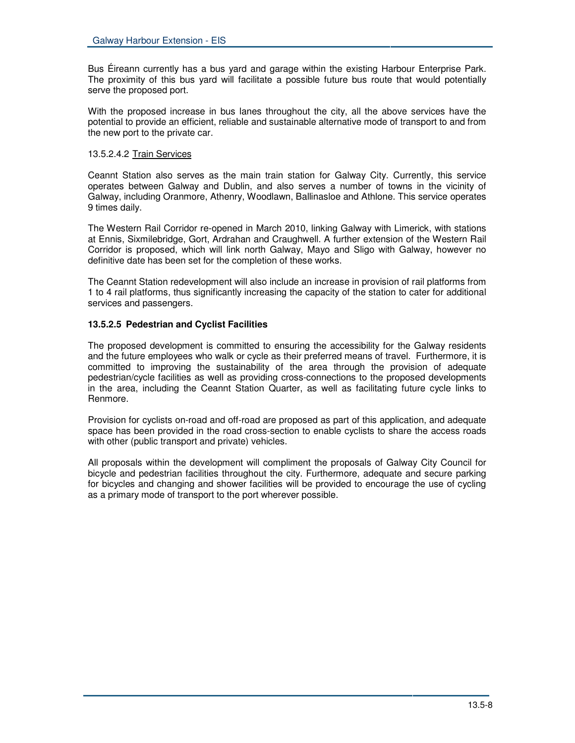Bus Éireann currently has a bus yard and garage within the existing Harbour Enterprise Park. The proximity of this bus yard will facilitate a possible future bus route that would potentially serve the proposed port.

With the proposed increase in bus lanes throughout the city, all the above services have the potential to provide an efficient, reliable and sustainable alternative mode of transport to and from the new port to the private car.

#### 13.5.2.4.2 Train Services

Ceannt Station also serves as the main train station for Galway City. Currently, this service operates between Galway and Dublin, and also serves a number of towns in the vicinity of Galway, including Oranmore, Athenry, Woodlawn, Ballinasloe and Athlone. This service operates 9 times daily.

The Western Rail Corridor re-opened in March 2010, linking Galway with Limerick, with stations at Ennis, Sixmilebridge, Gort, Ardrahan and Craughwell. A further extension of the Western Rail Corridor is proposed, which will link north Galway, Mayo and Sligo with Galway, however no definitive date has been set for the completion of these works.

The Ceannt Station redevelopment will also include an increase in provision of rail platforms from 1 to 4 rail platforms, thus significantly increasing the capacity of the station to cater for additional services and passengers.

# **13.5.2.5 Pedestrian and Cyclist Facilities**

The proposed development is committed to ensuring the accessibility for the Galway residents and the future employees who walk or cycle as their preferred means of travel. Furthermore, it is committed to improving the sustainability of the area through the provision of adequate pedestrian/cycle facilities as well as providing cross-connections to the proposed developments in the area, including the Ceannt Station Quarter, as well as facilitating future cycle links to Renmore.

Provision for cyclists on-road and off-road are proposed as part of this application, and adequate space has been provided in the road cross-section to enable cyclists to share the access roads with other (public transport and private) vehicles.

All proposals within the development will compliment the proposals of Galway City Council for bicycle and pedestrian facilities throughout the city. Furthermore, adequate and secure parking for bicycles and changing and shower facilities will be provided to encourage the use of cycling as a primary mode of transport to the port wherever possible.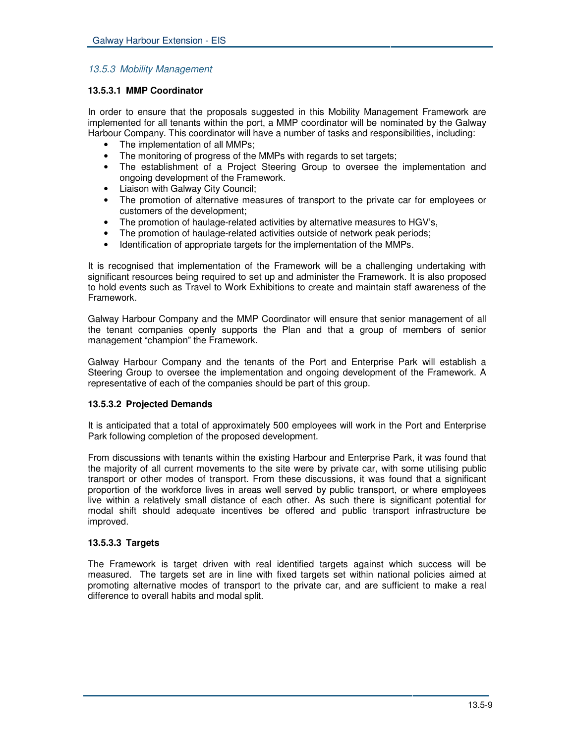# *13.5.3 Mobility Management*

#### **13.5.3.1 MMP Coordinator**

In order to ensure that the proposals suggested in this Mobility Management Framework are implemented for all tenants within the port, a MMP coordinator will be nominated by the Galway Harbour Company. This coordinator will have a number of tasks and responsibilities, including:

- The implementation of all MMPs;
- The monitoring of progress of the MMPs with regards to set targets;
- The establishment of a Project Steering Group to oversee the implementation and ongoing development of the Framework.
- Liaison with Galway City Council;
- The promotion of alternative measures of transport to the private car for employees or customers of the development;
- The promotion of haulage-related activities by alternative measures to HGV's,
- The promotion of haulage-related activities outside of network peak periods;
- Identification of appropriate targets for the implementation of the MMPs.

It is recognised that implementation of the Framework will be a challenging undertaking with significant resources being required to set up and administer the Framework. It is also proposed to hold events such as Travel to Work Exhibitions to create and maintain staff awareness of the Framework.

Galway Harbour Company and the MMP Coordinator will ensure that senior management of all the tenant companies openly supports the Plan and that a group of members of senior management "champion" the Framework.

Galway Harbour Company and the tenants of the Port and Enterprise Park will establish a Steering Group to oversee the implementation and ongoing development of the Framework. A representative of each of the companies should be part of this group.

#### **13.5.3.2 Projected Demands**

It is anticipated that a total of approximately 500 employees will work in the Port and Enterprise Park following completion of the proposed development.

From discussions with tenants within the existing Harbour and Enterprise Park, it was found that the majority of all current movements to the site were by private car, with some utilising public transport or other modes of transport. From these discussions, it was found that a significant proportion of the workforce lives in areas well served by public transport, or where employees live within a relatively small distance of each other. As such there is significant potential for modal shift should adequate incentives be offered and public transport infrastructure be improved.

#### **13.5.3.3 Targets**

The Framework is target driven with real identified targets against which success will be measured. The targets set are in line with fixed targets set within national policies aimed at promoting alternative modes of transport to the private car, and are sufficient to make a real difference to overall habits and modal split.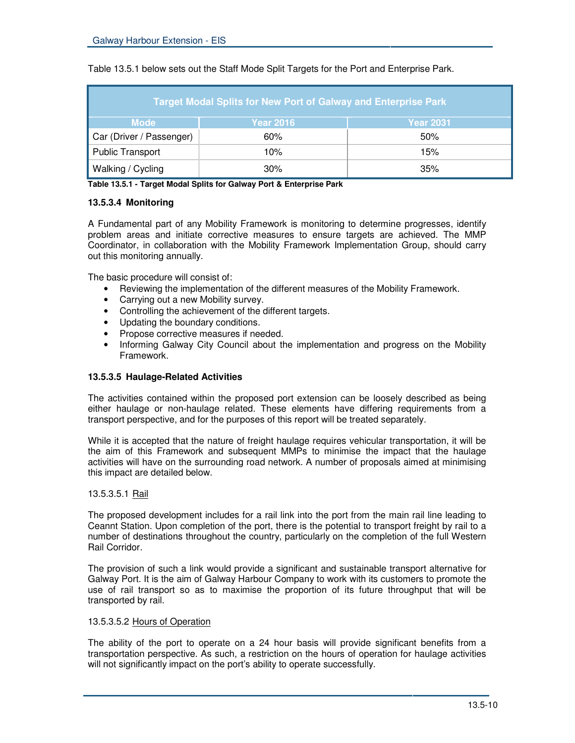| <b>Target Modal Splits for New Port of Galway and Enterprise Park</b> |                  |                  |  |
|-----------------------------------------------------------------------|------------------|------------------|--|
| <b>Mode</b>                                                           | <b>Year 2016</b> | <b>Year 2031</b> |  |
| Car (Driver / Passenger)                                              | 60%              | 50%              |  |
| <b>Public Transport</b>                                               | 10%              | 15%              |  |
| <b>Walking / Cycling</b>                                              | 30%              | 35%              |  |

Table 13.5.1 below sets out the Staff Mode Split Targets for the Port and Enterprise Park.

**Table 13.5.1 - Target Modal Splits for Galway Port & Enterprise Park**

#### **13.5.3.4 Monitoring**

A Fundamental part of any Mobility Framework is monitoring to determine progresses, identify problem areas and initiate corrective measures to ensure targets are achieved. The MMP Coordinator, in collaboration with the Mobility Framework Implementation Group, should carry out this monitoring annually.

The basic procedure will consist of:

- Reviewing the implementation of the different measures of the Mobility Framework.
- Carrying out a new Mobility survey.
- Controlling the achievement of the different targets.
- Updating the boundary conditions.
- Propose corrective measures if needed.
- Informing Galway City Council about the implementation and progress on the Mobility Framework.

#### **13.5.3.5 Haulage-Related Activities**

The activities contained within the proposed port extension can be loosely described as being either haulage or non-haulage related. These elements have differing requirements from a transport perspective, and for the purposes of this report will be treated separately.

While it is accepted that the nature of freight haulage requires vehicular transportation, it will be the aim of this Framework and subsequent MMPs to minimise the impact that the haulage activities will have on the surrounding road network. A number of proposals aimed at minimising this impact are detailed below.

#### 13.5.3.5.1 Rail

The proposed development includes for a rail link into the port from the main rail line leading to Ceannt Station. Upon completion of the port, there is the potential to transport freight by rail to a number of destinations throughout the country, particularly on the completion of the full Western Rail Corridor.

The provision of such a link would provide a significant and sustainable transport alternative for Galway Port. It is the aim of Galway Harbour Company to work with its customers to promote the use of rail transport so as to maximise the proportion of its future throughput that will be transported by rail.

#### 13.5.3.5.2 Hours of Operation

The ability of the port to operate on a 24 hour basis will provide significant benefits from a transportation perspective. As such, a restriction on the hours of operation for haulage activities will not significantly impact on the port's ability to operate successfully.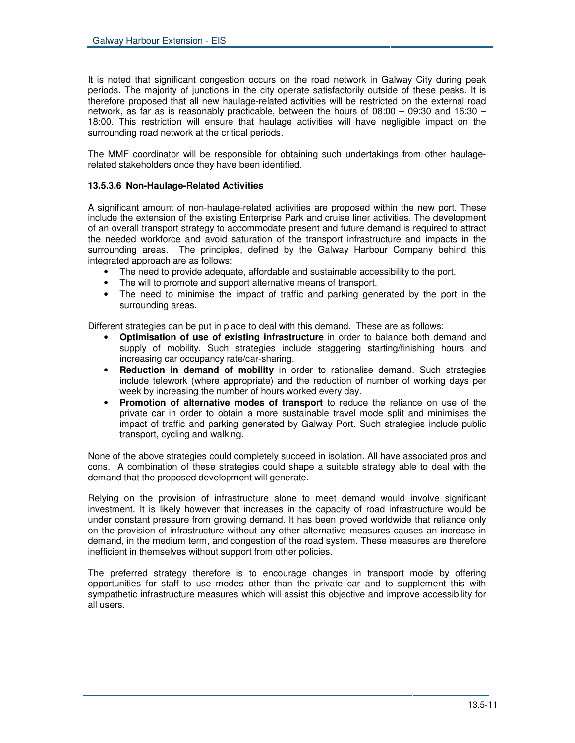It is noted that significant congestion occurs on the road network in Galway City during peak periods. The majority of junctions in the city operate satisfactorily outside of these peaks. It is therefore proposed that all new haulage-related activities will be restricted on the external road network, as far as is reasonably practicable, between the hours of 08:00 – 09:30 and 16:30 – 18:00. This restriction will ensure that haulage activities will have negligible impact on the surrounding road network at the critical periods.

The MMF coordinator will be responsible for obtaining such undertakings from other haulagerelated stakeholders once they have been identified.

#### **13.5.3.6 Non-Haulage-Related Activities**

A significant amount of non-haulage-related activities are proposed within the new port. These include the extension of the existing Enterprise Park and cruise liner activities. The development of an overall transport strategy to accommodate present and future demand is required to attract the needed workforce and avoid saturation of the transport infrastructure and impacts in the surrounding areas. The principles, defined by the Galway Harbour Company behind this integrated approach are as follows:

- The need to provide adequate, affordable and sustainable accessibility to the port.
- The will to promote and support alternative means of transport.
- The need to minimise the impact of traffic and parking generated by the port in the surrounding areas.

Different strategies can be put in place to deal with this demand. These are as follows:

- **Optimisation of use of existing infrastructure** in order to balance both demand and supply of mobility. Such strategies include staggering starting/finishing hours and increasing car occupancy rate/car-sharing.
- **Reduction in demand of mobility** in order to rationalise demand. Such strategies include telework (where appropriate) and the reduction of number of working days per week by increasing the number of hours worked every day.
- **Promotion of alternative modes of transport** to reduce the reliance on use of the private car in order to obtain a more sustainable travel mode split and minimises the impact of traffic and parking generated by Galway Port. Such strategies include public transport, cycling and walking.

None of the above strategies could completely succeed in isolation. All have associated pros and cons. A combination of these strategies could shape a suitable strategy able to deal with the demand that the proposed development will generate.

Relying on the provision of infrastructure alone to meet demand would involve significant investment. It is likely however that increases in the capacity of road infrastructure would be under constant pressure from growing demand. It has been proved worldwide that reliance only on the provision of infrastructure without any other alternative measures causes an increase in demand, in the medium term, and congestion of the road system. These measures are therefore inefficient in themselves without support from other policies.

The preferred strategy therefore is to encourage changes in transport mode by offering opportunities for staff to use modes other than the private car and to supplement this with sympathetic infrastructure measures which will assist this objective and improve accessibility for all users.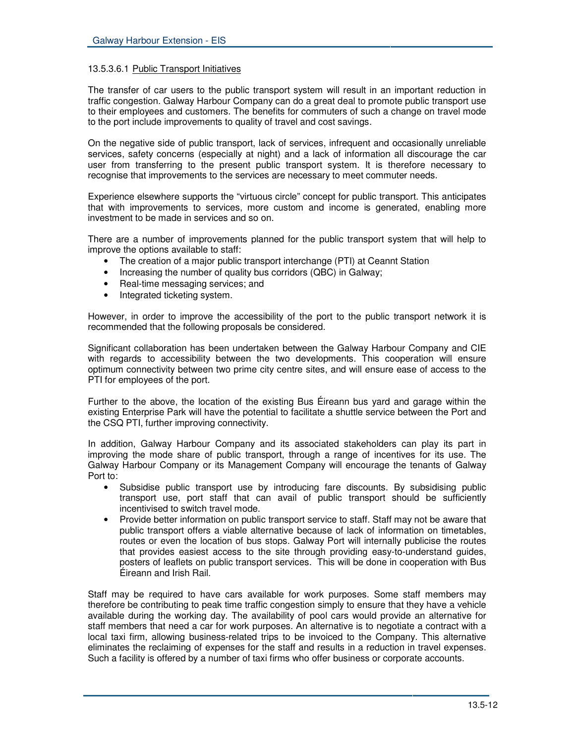#### 13.5.3.6.1 Public Transport Initiatives

The transfer of car users to the public transport system will result in an important reduction in traffic congestion. Galway Harbour Company can do a great deal to promote public transport use to their employees and customers. The benefits for commuters of such a change on travel mode to the port include improvements to quality of travel and cost savings.

On the negative side of public transport, lack of services, infrequent and occasionally unreliable services, safety concerns (especially at night) and a lack of information all discourage the car user from transferring to the present public transport system. It is therefore necessary to recognise that improvements to the services are necessary to meet commuter needs.

Experience elsewhere supports the "virtuous circle" concept for public transport. This anticipates that with improvements to services, more custom and income is generated, enabling more investment to be made in services and so on.

There are a number of improvements planned for the public transport system that will help to improve the options available to staff:

- The creation of a major public transport interchange (PTI) at Ceannt Station
- Increasing the number of quality bus corridors (QBC) in Galway;
- Real-time messaging services; and
- Integrated ticketing system.

However, in order to improve the accessibility of the port to the public transport network it is recommended that the following proposals be considered.

Significant collaboration has been undertaken between the Galway Harbour Company and CIE with regards to accessibility between the two developments. This cooperation will ensure optimum connectivity between two prime city centre sites, and will ensure ease of access to the PTI for employees of the port.

Further to the above, the location of the existing Bus Éireann bus yard and garage within the existing Enterprise Park will have the potential to facilitate a shuttle service between the Port and the CSQ PTI, further improving connectivity.

In addition, Galway Harbour Company and its associated stakeholders can play its part in improving the mode share of public transport, through a range of incentives for its use. The Galway Harbour Company or its Management Company will encourage the tenants of Galway Port to:

- Subsidise public transport use by introducing fare discounts. By subsidising public transport use, port staff that can avail of public transport should be sufficiently incentivised to switch travel mode.
- Provide better information on public transport service to staff. Staff may not be aware that public transport offers a viable alternative because of lack of information on timetables, routes or even the location of bus stops. Galway Port will internally publicise the routes that provides easiest access to the site through providing easy-to-understand guides, posters of leaflets on public transport services. This will be done in cooperation with Bus Éireann and Irish Rail.

Staff may be required to have cars available for work purposes. Some staff members may therefore be contributing to peak time traffic congestion simply to ensure that they have a vehicle available during the working day. The availability of pool cars would provide an alternative for staff members that need a car for work purposes. An alternative is to negotiate a contract with a local taxi firm, allowing business-related trips to be invoiced to the Company. This alternative eliminates the reclaiming of expenses for the staff and results in a reduction in travel expenses. Such a facility is offered by a number of taxi firms who offer business or corporate accounts.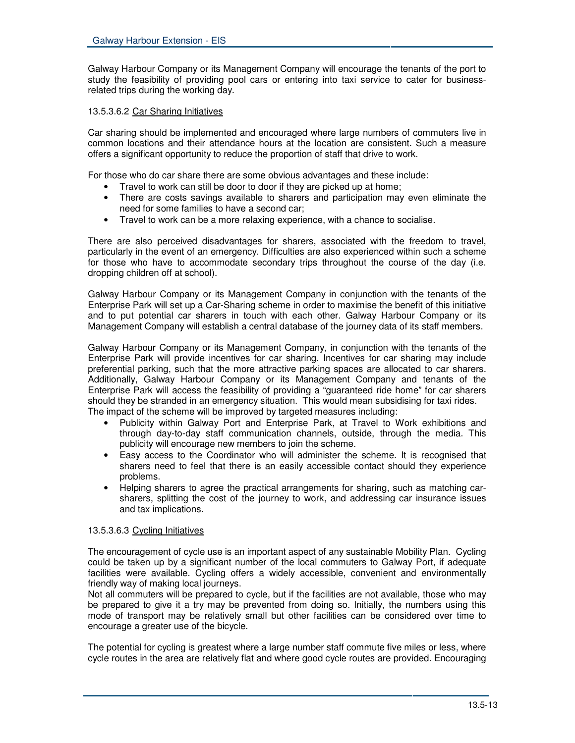Galway Harbour Company or its Management Company will encourage the tenants of the port to study the feasibility of providing pool cars or entering into taxi service to cater for businessrelated trips during the working day.

#### 13.5.3.6.2 Car Sharing Initiatives

Car sharing should be implemented and encouraged where large numbers of commuters live in common locations and their attendance hours at the location are consistent. Such a measure offers a significant opportunity to reduce the proportion of staff that drive to work.

For those who do car share there are some obvious advantages and these include:

- Travel to work can still be door to door if they are picked up at home;
- There are costs savings available to sharers and participation may even eliminate the need for some families to have a second car;
- Travel to work can be a more relaxing experience, with a chance to socialise.

There are also perceived disadvantages for sharers, associated with the freedom to travel, particularly in the event of an emergency. Difficulties are also experienced within such a scheme for those who have to accommodate secondary trips throughout the course of the day (i.e. dropping children off at school).

Galway Harbour Company or its Management Company in conjunction with the tenants of the Enterprise Park will set up a Car-Sharing scheme in order to maximise the benefit of this initiative and to put potential car sharers in touch with each other. Galway Harbour Company or its Management Company will establish a central database of the journey data of its staff members.

Galway Harbour Company or its Management Company, in conjunction with the tenants of the Enterprise Park will provide incentives for car sharing. Incentives for car sharing may include preferential parking, such that the more attractive parking spaces are allocated to car sharers. Additionally, Galway Harbour Company or its Management Company and tenants of the Enterprise Park will access the feasibility of providing a "guaranteed ride home" for car sharers should they be stranded in an emergency situation. This would mean subsidising for taxi rides. The impact of the scheme will be improved by targeted measures including:

- Publicity within Galway Port and Enterprise Park, at Travel to Work exhibitions and through day-to-day staff communication channels, outside, through the media. This publicity will encourage new members to join the scheme.
- Easy access to the Coordinator who will administer the scheme. It is recognised that sharers need to feel that there is an easily accessible contact should they experience problems.
- Helping sharers to agree the practical arrangements for sharing, such as matching carsharers, splitting the cost of the journey to work, and addressing car insurance issues and tax implications.

#### 13.5.3.6.3 Cycling Initiatives

The encouragement of cycle use is an important aspect of any sustainable Mobility Plan. Cycling could be taken up by a significant number of the local commuters to Galway Port, if adequate facilities were available. Cycling offers a widely accessible, convenient and environmentally friendly way of making local journeys.

Not all commuters will be prepared to cycle, but if the facilities are not available, those who may be prepared to give it a try may be prevented from doing so. Initially, the numbers using this mode of transport may be relatively small but other facilities can be considered over time to encourage a greater use of the bicycle.

The potential for cycling is greatest where a large number staff commute five miles or less, where cycle routes in the area are relatively flat and where good cycle routes are provided. Encouraging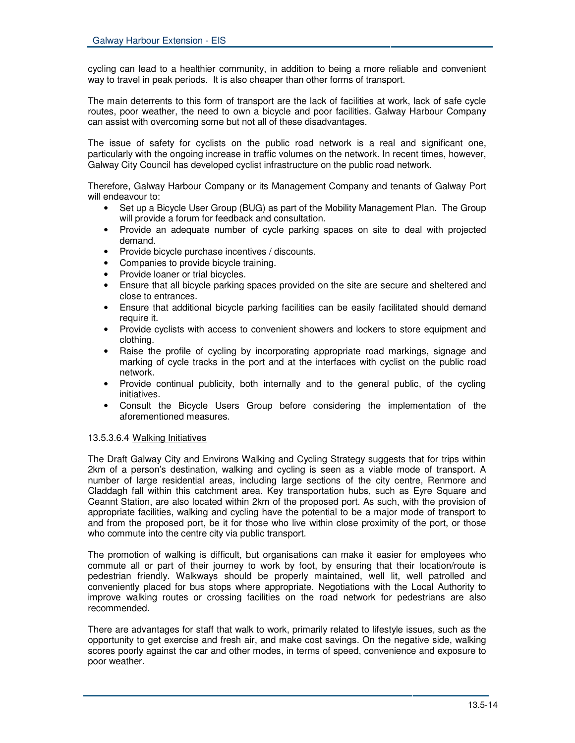cycling can lead to a healthier community, in addition to being a more reliable and convenient way to travel in peak periods. It is also cheaper than other forms of transport.

The main deterrents to this form of transport are the lack of facilities at work, lack of safe cycle routes, poor weather, the need to own a bicycle and poor facilities. Galway Harbour Company can assist with overcoming some but not all of these disadvantages.

The issue of safety for cyclists on the public road network is a real and significant one, particularly with the ongoing increase in traffic volumes on the network. In recent times, however, Galway City Council has developed cyclist infrastructure on the public road network.

Therefore, Galway Harbour Company or its Management Company and tenants of Galway Port will endeavour to:

- Set up a Bicycle User Group (BUG) as part of the Mobility Management Plan. The Group will provide a forum for feedback and consultation.
- Provide an adequate number of cycle parking spaces on site to deal with projected demand.
- Provide bicycle purchase incentives / discounts.
- Companies to provide bicycle training.
- Provide loaner or trial bicycles.
- Ensure that all bicycle parking spaces provided on the site are secure and sheltered and close to entrances.
- Ensure that additional bicycle parking facilities can be easily facilitated should demand require it.
- Provide cyclists with access to convenient showers and lockers to store equipment and clothing.
- Raise the profile of cycling by incorporating appropriate road markings, signage and marking of cycle tracks in the port and at the interfaces with cyclist on the public road network.
- Provide continual publicity, both internally and to the general public, of the cycling initiatives.
- Consult the Bicycle Users Group before considering the implementation of the aforementioned measures.

#### 13.5.3.6.4 Walking Initiatives

The Draft Galway City and Environs Walking and Cycling Strategy suggests that for trips within 2km of a person's destination, walking and cycling is seen as a viable mode of transport. A number of large residential areas, including large sections of the city centre, Renmore and Claddagh fall within this catchment area. Key transportation hubs, such as Eyre Square and Ceannt Station, are also located within 2km of the proposed port. As such, with the provision of appropriate facilities, walking and cycling have the potential to be a major mode of transport to and from the proposed port, be it for those who live within close proximity of the port, or those who commute into the centre city via public transport.

The promotion of walking is difficult, but organisations can make it easier for employees who commute all or part of their journey to work by foot, by ensuring that their location/route is pedestrian friendly. Walkways should be properly maintained, well lit, well patrolled and conveniently placed for bus stops where appropriate. Negotiations with the Local Authority to improve walking routes or crossing facilities on the road network for pedestrians are also recommended.

There are advantages for staff that walk to work, primarily related to lifestyle issues, such as the opportunity to get exercise and fresh air, and make cost savings. On the negative side, walking scores poorly against the car and other modes, in terms of speed, convenience and exposure to poor weather.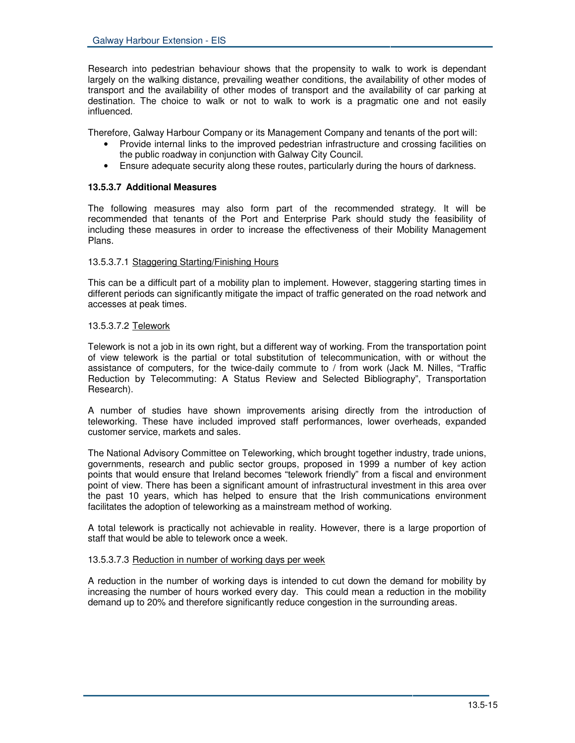Research into pedestrian behaviour shows that the propensity to walk to work is dependant largely on the walking distance, prevailing weather conditions, the availability of other modes of transport and the availability of other modes of transport and the availability of car parking at destination. The choice to walk or not to walk to work is a pragmatic one and not easily influenced.

Therefore, Galway Harbour Company or its Management Company and tenants of the port will:

- Provide internal links to the improved pedestrian infrastructure and crossing facilities on the public roadway in conjunction with Galway City Council.
- Ensure adequate security along these routes, particularly during the hours of darkness.

#### **13.5.3.7 Additional Measures**

The following measures may also form part of the recommended strategy. It will be recommended that tenants of the Port and Enterprise Park should study the feasibility of including these measures in order to increase the effectiveness of their Mobility Management Plans.

#### 13.5.3.7.1 Staggering Starting/Finishing Hours

This can be a difficult part of a mobility plan to implement. However, staggering starting times in different periods can significantly mitigate the impact of traffic generated on the road network and accesses at peak times.

#### 13.5.3.7.2 Telework

Telework is not a job in its own right, but a different way of working. From the transportation point of view telework is the partial or total substitution of telecommunication, with or without the assistance of computers, for the twice-daily commute to / from work (Jack M. Nilles, "Traffic Reduction by Telecommuting: A Status Review and Selected Bibliography", Transportation Research).

A number of studies have shown improvements arising directly from the introduction of teleworking. These have included improved staff performances, lower overheads, expanded customer service, markets and sales.

The National Advisory Committee on Teleworking, which brought together industry, trade unions, governments, research and public sector groups, proposed in 1999 a number of key action points that would ensure that Ireland becomes "telework friendly" from a fiscal and environment point of view. There has been a significant amount of infrastructural investment in this area over the past 10 years, which has helped to ensure that the Irish communications environment facilitates the adoption of teleworking as a mainstream method of working.

A total telework is practically not achievable in reality. However, there is a large proportion of staff that would be able to telework once a week.

#### 13.5.3.7.3 Reduction in number of working days per week

A reduction in the number of working days is intended to cut down the demand for mobility by increasing the number of hours worked every day. This could mean a reduction in the mobility demand up to 20% and therefore significantly reduce congestion in the surrounding areas.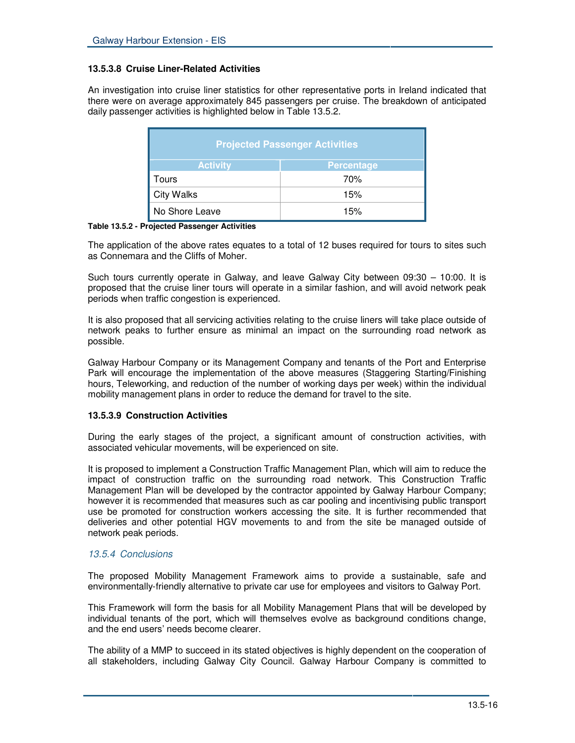#### **13.5.3.8 Cruise Liner-Related Activities**

An investigation into cruise liner statistics for other representative ports in Ireland indicated that there were on average approximately 845 passengers per cruise. The breakdown of anticipated daily passenger activities is highlighted below in Table 13.5.2.

| <b>Projected Passenger Activities</b> |                   |  |
|---------------------------------------|-------------------|--|
| <b>Activity</b>                       | <b>Percentage</b> |  |
| Tours                                 | 70%               |  |
| <b>City Walks</b>                     | 15%               |  |
| No Shore Leave                        | 15%               |  |

**Table 13.5.2 - Projected Passenger Activities**

The application of the above rates equates to a total of 12 buses required for tours to sites such as Connemara and the Cliffs of Moher.

Such tours currently operate in Galway, and leave Galway City between 09:30 – 10:00. It is proposed that the cruise liner tours will operate in a similar fashion, and will avoid network peak periods when traffic congestion is experienced.

It is also proposed that all servicing activities relating to the cruise liners will take place outside of network peaks to further ensure as minimal an impact on the surrounding road network as possible.

Galway Harbour Company or its Management Company and tenants of the Port and Enterprise Park will encourage the implementation of the above measures (Staggering Starting/Finishing hours, Teleworking, and reduction of the number of working days per week) within the individual mobility management plans in order to reduce the demand for travel to the site.

#### **13.5.3.9 Construction Activities**

During the early stages of the project, a significant amount of construction activities, with associated vehicular movements, will be experienced on site.

It is proposed to implement a Construction Traffic Management Plan, which will aim to reduce the impact of construction traffic on the surrounding road network. This Construction Traffic Management Plan will be developed by the contractor appointed by Galway Harbour Company; however it is recommended that measures such as car pooling and incentivising public transport use be promoted for construction workers accessing the site. It is further recommended that deliveries and other potential HGV movements to and from the site be managed outside of network peak periods.

# *13.5.4 Conclusions*

The proposed Mobility Management Framework aims to provide a sustainable, safe and environmentally-friendly alternative to private car use for employees and visitors to Galway Port.

This Framework will form the basis for all Mobility Management Plans that will be developed by individual tenants of the port, which will themselves evolve as background conditions change, and the end users' needs become clearer.

The ability of a MMP to succeed in its stated objectives is highly dependent on the cooperation of all stakeholders, including Galway City Council. Galway Harbour Company is committed to